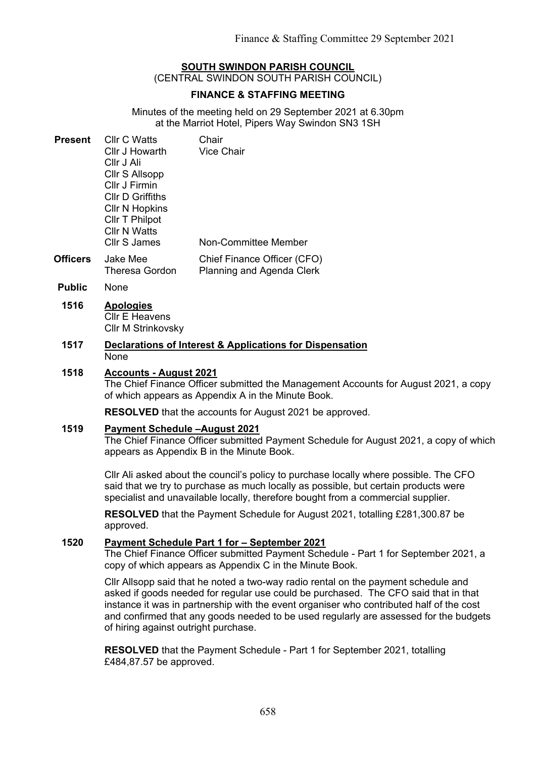# **SOUTH SWINDON PARISH COUNCIL**

(CENTRAL SWINDON SOUTH PARISH COUNCIL)

### **FINANCE & STAFFING MEETING**

Minutes of the meeting held on 29 September 2021 at 6.30pm at the Marriot Hotel, Pipers Way Swindon SN3 1SH

| Present | <b>CIIr C Watts</b>     | Chair                                                                                                                   |
|---------|-------------------------|-------------------------------------------------------------------------------------------------------------------------|
|         | Cllr J Howarth          | <b>Vice Chair</b>                                                                                                       |
|         | Cllr J Ali              |                                                                                                                         |
|         | Cllr S Allsopp          |                                                                                                                         |
|         | Cllr J Firmin           |                                                                                                                         |
|         | <b>CIIr D Griffiths</b> |                                                                                                                         |
|         | <b>CIIr N Hopkins</b>   |                                                                                                                         |
|         | Cllr T Philpot          |                                                                                                                         |
|         | <b>Cllr N Watts</b>     |                                                                                                                         |
|         | <b>Cllr S James</b>     | Non-Committee Member                                                                                                    |
|         | $1 - 1 - 1$             | $\bigcap_{i=1}^{n}$ $\bigcap_{i=1}^{n}$ $\bigcap_{i=1}^{n}$ $\bigcap_{i=1}^{n}$ $\bigcap_{i=1}^{n}$ $\bigcap_{i=1}^{n}$ |

- **Officers** Jake Mee Theresa Gordon Chief Finance Officer (CFO) Planning and Agenda Clerk
- **Public** None

### **1516 Apologies** Cllr E Heavens Cllr M Strinkovsky

#### **1517 Declarations of Interest & Applications for Dispensation** None

#### **1518 Accounts - August 2021**

The Chief Finance Officer submitted the Management Accounts for August 2021, a copy of which appears as Appendix A in the Minute Book.

**RESOLVED** that the accounts for August 2021 be approved.

#### **1519 Payment Schedule –August 2021**

The Chief Finance Officer submitted Payment Schedule for August 2021, a copy of which appears as Appendix B in the Minute Book.

Cllr Ali asked about the council's policy to purchase locally where possible. The CFO said that we try to purchase as much locally as possible, but certain products were specialist and unavailable locally, therefore bought from a commercial supplier.

**RESOLVED** that the Payment Schedule for August 2021, totalling £281,300.87 be approved.

#### **1520 Payment Schedule Part 1 for – September 2021**

The Chief Finance Officer submitted Payment Schedule - Part 1 for September 2021, a copy of which appears as Appendix C in the Minute Book.

Cllr Allsopp said that he noted a two-way radio rental on the payment schedule and asked if goods needed for regular use could be purchased. The CFO said that in that instance it was in partnership with the event organiser who contributed half of the cost and confirmed that any goods needed to be used regularly are assessed for the budgets of hiring against outright purchase.

**RESOLVED** that the Payment Schedule - Part 1 for September 2021, totalling £484,87.57 be approved.